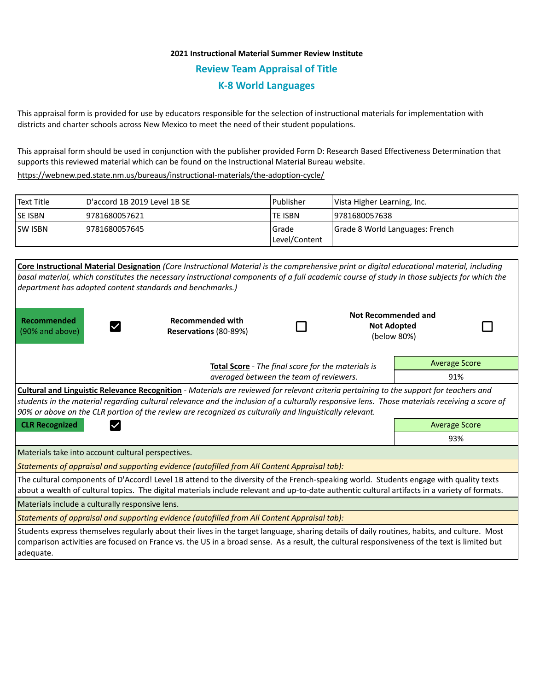## **2021 Instructional Material Summer Review Institute Review Team Appraisal of Title K-8 World Languages**

This appraisal form is provided for use by educators responsible for the selection of instructional materials for implementation with districts and charter schools across New Mexico to meet the need of their student populations.

This appraisal form should be used in conjunction with the publisher provided Form D: Research Based Effectiveness Determination that supports this reviewed material which can be found on the Instructional Material Bureau website.

<https://webnew.ped.state.nm.us/bureaus/instructional-materials/the-adoption-cycle/>

| Text Title     | D'accord 1B 2019 Level 1B SE | Publisher              | Vista Higher Learning, Inc.     |  |
|----------------|------------------------------|------------------------|---------------------------------|--|
| <b>SE ISBN</b> | 19781680057621               | <b>TE ISBN</b>         | 19781680057638                  |  |
| <b>SW ISBN</b> | 19781680057645               | Grade<br>Level/Content | Grade 8 World Languages: French |  |

| <b>Core Instructional Material Designation (Core Instructional Material is the comprehensive print or digital educational material, including</b><br>basal material, which constitutes the necessary instructional components of a full academic course of study in those subjects for which the<br>department has adopted content standards and benchmarks.)                                              |                                                                                               |  |                                                                 |                      |  |  |  |  |
|------------------------------------------------------------------------------------------------------------------------------------------------------------------------------------------------------------------------------------------------------------------------------------------------------------------------------------------------------------------------------------------------------------|-----------------------------------------------------------------------------------------------|--|-----------------------------------------------------------------|----------------------|--|--|--|--|
| Recommended<br>(90% and above)                                                                                                                                                                                                                                                                                                                                                                             | <b>Recommended with</b><br>Reservations (80-89%)                                              |  | <b>Not Recommended and</b><br><b>Not Adopted</b><br>(below 80%) |                      |  |  |  |  |
|                                                                                                                                                                                                                                                                                                                                                                                                            | Total Score - The final score for the materials is<br>averaged between the team of reviewers. |  | <b>Average Score</b>                                            |                      |  |  |  |  |
|                                                                                                                                                                                                                                                                                                                                                                                                            |                                                                                               |  |                                                                 | 91%                  |  |  |  |  |
| <b>Cultural and Linguistic Relevance Recognition</b> - Materials are reviewed for relevant criteria pertaining to the support for teachers and<br>students in the material regarding cultural relevance and the inclusion of a culturally responsive lens. Those materials receiving a score of<br>90% or above on the CLR portion of the review are recognized as culturally and linguistically relevant. |                                                                                               |  |                                                                 |                      |  |  |  |  |
| <b>CLR Recognized</b>                                                                                                                                                                                                                                                                                                                                                                                      |                                                                                               |  |                                                                 | <b>Average Score</b> |  |  |  |  |
|                                                                                                                                                                                                                                                                                                                                                                                                            |                                                                                               |  |                                                                 | 93%                  |  |  |  |  |
| Materials take into account cultural perspectives.                                                                                                                                                                                                                                                                                                                                                         |                                                                                               |  |                                                                 |                      |  |  |  |  |
|                                                                                                                                                                                                                                                                                                                                                                                                            | Statements of appraisal and supporting evidence (autofilled from All Content Appraisal tab):  |  |                                                                 |                      |  |  |  |  |
| The cultural components of D'Accord! Level 1B attend to the diversity of the French-speaking world. Students engage with quality texts<br>about a wealth of cultural topics. The digital materials include relevant and up-to-date authentic cultural artifacts in a variety of formats.                                                                                                                   |                                                                                               |  |                                                                 |                      |  |  |  |  |
| Materials include a culturally responsive lens.                                                                                                                                                                                                                                                                                                                                                            |                                                                                               |  |                                                                 |                      |  |  |  |  |
| Statements of appraisal and supporting evidence (autofilled from All Content Appraisal tab):                                                                                                                                                                                                                                                                                                               |                                                                                               |  |                                                                 |                      |  |  |  |  |
| Students express themselves regularly about their lives in the target language, sharing details of daily routines, habits, and culture. Most<br>comparison activities are focused on France vs. the US in a broad sense. As a result, the cultural responsiveness of the text is limited but<br>adequate.                                                                                                  |                                                                                               |  |                                                                 |                      |  |  |  |  |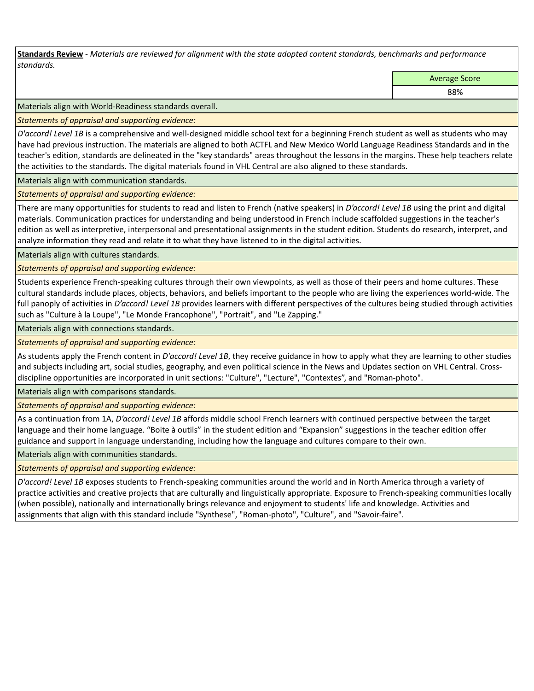**Standards Review** *- Materials are reviewed for alignment with the state adopted content standards, benchmarks and performance standards.*

Average Score

88%

Materials align with World-Readiness standards overall.

*Statements of appraisal and supporting evidence:* 

*D'accord! Level 1B* is a comprehensive and well-designed middle school text for a beginning French student as well as students who may have had previous instruction. The materials are aligned to both ACTFL and New Mexico World Language Readiness Standards and in the teacher's edition, standards are delineated in the "key standards" areas throughout the lessons in the margins. These help teachers relate the activities to the standards. The digital materials found in VHL Central are also aligned to these standards.

Materials align with communication standards.

*Statements of appraisal and supporting evidence:* 

There are many opportunities for students to read and listen to French (native speakers) in *D'accord! Level 1B* using the print and digital materials. Communication practices for understanding and being understood in French include scaffolded suggestions in the teacher's edition as well as interpretive, interpersonal and presentational assignments in the student edition. Students do research, interpret, and analyze information they read and relate it to what they have listened to in the digital activities.

Materials align with cultures standards.

*Statements of appraisal and supporting evidence:* 

Students experience French-speaking cultures through their own viewpoints, as well as those of their peers and home cultures. These cultural standards include places, objects, behaviors, and beliefs important to the people who are living the experiences world-wide. The full panoply of activities in *D'accord! Level 1B* provides learners with different perspectives of the cultures being studied through activities such as "Culture à la Loupe", "Le Monde Francophone", "Portrait", and "Le Zapping."

Materials align with connections standards.

*Statements of appraisal and supporting evidence:* 

As students apply the French content in *D'accord! Level 1B*, they receive guidance in how to apply what they are learning to other studies and subjects including art, social studies, geography, and even political science in the News and Updates section on VHL Central. Crossdiscipline opportunities are incorporated in unit sections: "Culture", "Lecture", "Contextes", and "Roman-photo".

Materials align with comparisons standards.

*Statements of appraisal and supporting evidence:* 

As a continuation from 1A, *D'accord! Level 1B* affords middle school French learners with continued perspective between the target language and their home language. "Boite à outils" in the student edition and "Expansion" suggestions in the teacher edition offer guidance and support in language understanding, including how the language and cultures compare to their own.

Materials align with communities standards.

*Statements of appraisal and supporting evidence:* 

*D'accord! Level 1B* exposes students to French-speaking communities around the world and in North America through a variety of practice activities and creative projects that are culturally and linguistically appropriate. Exposure to French-speaking communities locally (when possible), nationally and internationally brings relevance and enjoyment to students' life and knowledge. Activities and assignments that align with this standard include "Synthese", "Roman-photo", "Culture", and "Savoir-faire".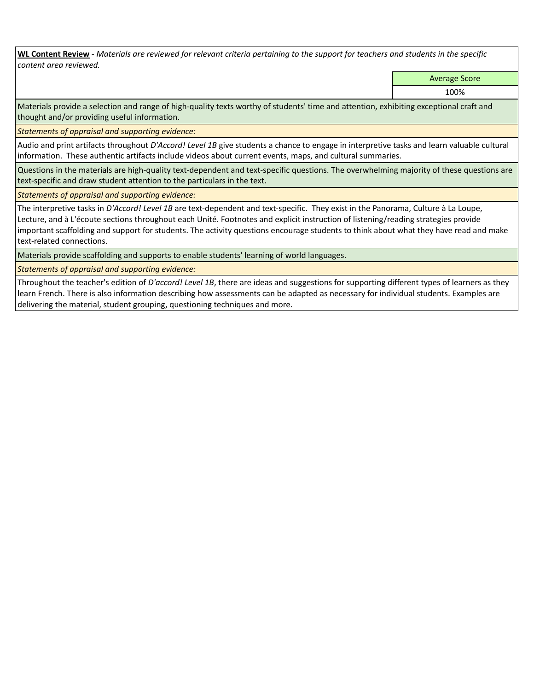**WL Content Review** *- Materials are reviewed for relevant criteria pertaining to the support for teachers and students in the specific content area reviewed.*

Average Score

100%

Materials provide a selection and range of high-quality texts worthy of students' time and attention, exhibiting exceptional craft and thought and/or providing useful information.

*Statements of appraisal and supporting evidence:* 

Audio and print artifacts throughout *D'Accord! Level 1B* give students a chance to engage in interpretive tasks and learn valuable cultural information. These authentic artifacts include videos about current events, maps, and cultural summaries.

Questions in the materials are high-quality text-dependent and text-specific questions. The overwhelming majority of these questions are text-specific and draw student attention to the particulars in the text.

*Statements of appraisal and supporting evidence:* 

The interpretive tasks in *D'Accord! Level 1B* are text-dependent and text-specific. They exist in the Panorama, Culture à La Loupe, Lecture, and à L'écoute sections throughout each Unité. Footnotes and explicit instruction of listening/reading strategies provide important scaffolding and support for students. The activity questions encourage students to think about what they have read and make text-related connections.

Materials provide scaffolding and supports to enable students' learning of world languages.

*Statements of appraisal and supporting evidence:* 

Throughout the teacher's edition of *D'accord! Level 1B*, there are ideas and suggestions for supporting different types of learners as they learn French. There is also information describing how assessments can be adapted as necessary for individual students. Examples are delivering the material, student grouping, questioning techniques and more.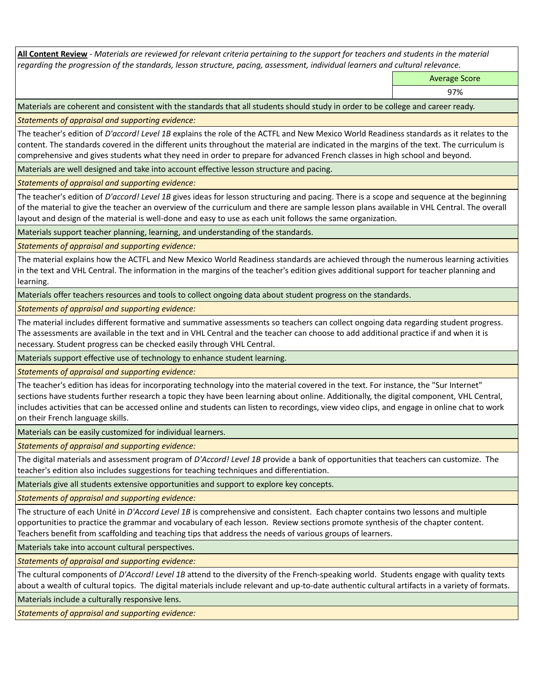**All Content Review** *- Materials are reviewed for relevant criteria pertaining to the support for teachers and students in the material regarding the progression of the standards, lesson structure, pacing, assessment, individual learners and cultural relevance.*

Average Score

97%

Materials are coherent and consistent with the standards that all students should study in order to be college and career ready.

*Statements of appraisal and supporting evidence:*

The teacher's edition of *D'accord! Level 1B* explains the role of the ACTFL and New Mexico World Readiness standards as it relates to the content. The standards covered in the different units throughout the material are indicated in the margins of the text. The curriculum is comprehensive and gives students what they need in order to prepare for advanced French classes in high school and beyond.

Materials are well designed and take into account effective lesson structure and pacing.

*Statements of appraisal and supporting evidence:*

The teacher's edition of *D'accord! Level 1B* gives ideas for lesson structuring and pacing. There is a scope and sequence at the beginning of the material to give the teacher an overview of the curriculum and there are sample lesson plans available in VHL Central. The overall layout and design of the material is well-done and easy to use as each unit follows the same organization.

Materials support teacher planning, learning, and understanding of the standards.

*Statements of appraisal and supporting evidence:*

The material explains how the ACTFL and New Mexico World Readiness standards are achieved through the numerous learning activities in the text and VHL Central. The information in the margins of the teacher's edition gives additional support for teacher planning and learning.

Materials offer teachers resources and tools to collect ongoing data about student progress on the standards.

*Statements of appraisal and supporting evidence:*

The material includes different formative and summative assessments so teachers can collect ongoing data regarding student progress. The assessments are available in the text and in VHL Central and the teacher can choose to add additional practice if and when it is necessary. Student progress can be checked easily through VHL Central.

Materials support effective use of technology to enhance student learning.

*Statements of appraisal and supporting evidence:*

The teacher's edition has ideas for incorporating technology into the material covered in the text. For instance, the "Sur Internet" sections have students further research a topic they have been learning about online. Additionally, the digital component, VHL Central, includes activities that can be accessed online and students can listen to recordings, view video clips, and engage in online chat to work on their French language skills.

Materials can be easily customized for individual learners.

*Statements of appraisal and supporting evidence:* 

The digital materials and assessment program of *D'Accord! Level 1B* provide a bank of opportunities that teachers can customize. The teacher's edition also includes suggestions for teaching techniques and differentiation.

Materials give all students extensive opportunities and support to explore key concepts.

*Statements of appraisal and supporting evidence:*

The structure of each Unité in *D'Accord Level 1B* is comprehensive and consistent. Each chapter contains two lessons and multiple opportunities to practice the grammar and vocabulary of each lesson. Review sections promote synthesis of the chapter content. Teachers benefit from scaffolding and teaching tips that address the needs of various groups of learners.

Materials take into account cultural perspectives.

*Statements of appraisal and supporting evidence:*

The cultural components of *D'Accord! Level 1B* attend to the diversity of the French-speaking world. Students engage with quality texts about a wealth of cultural topics. The digital materials include relevant and up-to-date authentic cultural artifacts in a variety of formats.

Materials include a culturally responsive lens.

*Statements of appraisal and supporting evidence:*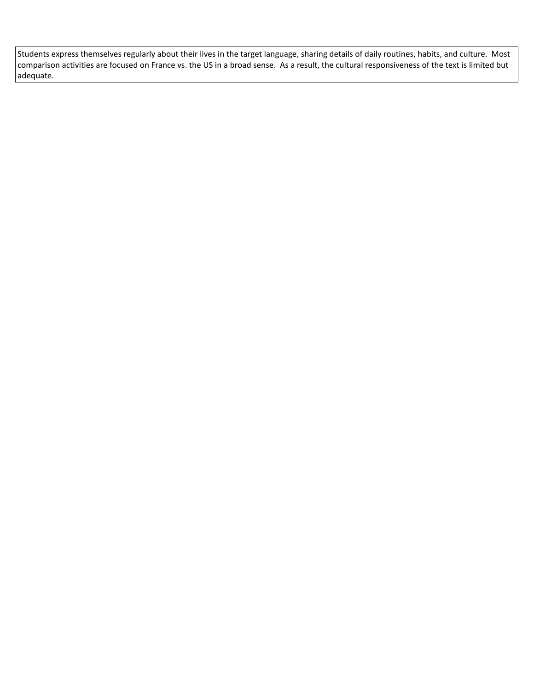Students express themselves regularly about their lives in the target language, sharing details of daily routines, habits, and culture. Most comparison activities are focused on France vs. the US in a broad sense. As a result, the cultural responsiveness of the text is limited but adequate.